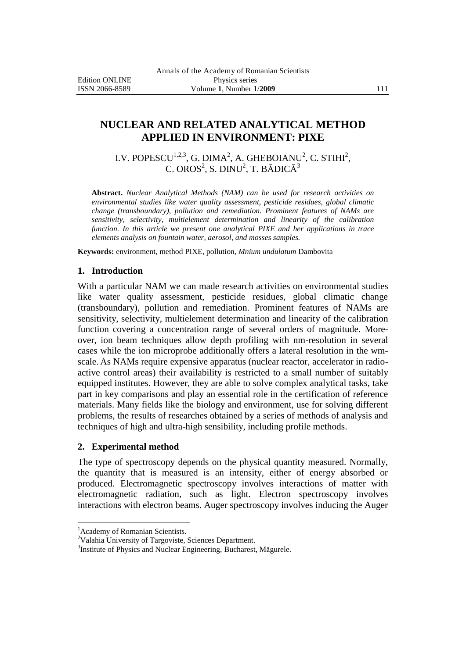# **NUCLEAR AND RELATED ANALYTICAL METHOD APPLIED IN ENVIRONMENT: PIXE**

I.V. POPESCU $^{1,2,3}$ , G. DIMA $^2$ , A. GHEBOIANU $^2$ , C. STIHI $^2$ , C. OROS $^2$ , S. DINU $^2$ , T. BĂDICĂ $^3$ 

**Abstract.** *Nuclear Analytical Methods (NAM) can be used for research activities on environmental studies like water quality assessment, pesticide residues, global climatic change (transboundary), pollution and remediation. Prominent features of NAMs are sensitivity, selectivity, multielement determination and linearity of the calibration function. In this article we present one analytical PIXE and her applications in trace elements analysis on fountain water, aerosol, and mosses samples.*

**Keywords:** environment, method PIXE, pollution, *Mnium undulatum* Dambovita

## **1. Introduction**

With a particular NAM we can made research activities on environmental studies like water quality assessment, pesticide residues, global climatic change (transboundary), pollution and remediation. Prominent features of NAMs are sensitivity, selectivity, multielement determination and linearity of the calibration function covering a concentration range of several orders of magnitude. Moreover, ion beam techniques allow depth profiling with nm-resolution in several cases while the ion microprobe additionally offers a lateral resolution in the wmscale. As NAMs require expensive apparatus (nuclear reactor, accelerator in radioactive control areas) their availability is restricted to a small number of suitably equipped institutes. However, they are able to solve complex analytical tasks, take part in key comparisons and play an essential role in the certification of reference materials. Many fields like the biology and environment, use for solving different problems, the results of researches obtained by a series of methods of analysis and techniques of high and ultra-high sensibility, including profile methods.

## **2. Experimental method**

The type of spectroscopy depends on the physical quantity measured. Normally, the quantity that is measured is an intensity, either of energy absorbed or produced. Electromagnetic spectroscopy involves interactions of matter with electromagnetic radiation, such as light. Electron spectroscopy involves interactions with electron beams. Auger spectroscopy involves inducing the Auger

 $\overline{a}$ 

<sup>&</sup>lt;sup>1</sup> Academy of Romanian Scientists.

<sup>&</sup>lt;sup>2</sup>Valahia University of Targoviste, Sciences Department.

<sup>&</sup>lt;sup>3</sup>Institute of Physics and Nuclear Engineering, Bucharest, Măgurele.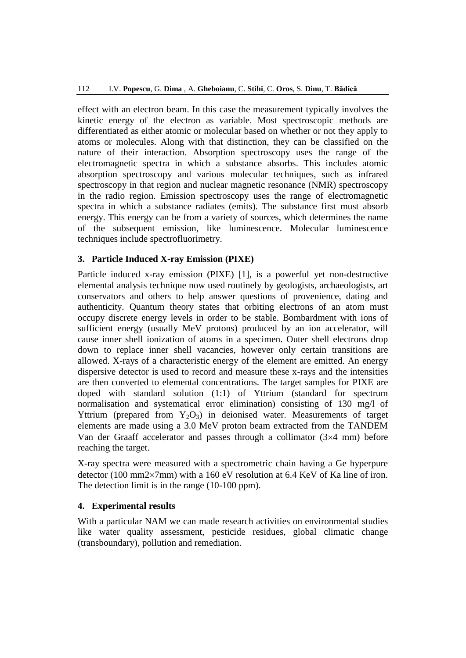effect with an electron beam. In this case the measurement typically involves the kinetic energy of the electron as variable. Most spectroscopic methods are differentiated as either atomic or molecular based on whether or not they apply to atoms or molecules. Along with that distinction, they can be classified on the nature of their interaction. Absorption spectroscopy uses the range of the electromagnetic spectra in which a substance absorbs. This includes atomic absorption spectroscopy and various molecular techniques, such as infrared spectroscopy in that region and nuclear magnetic resonance (NMR) spectroscopy in the radio region. Emission spectroscopy uses the range of electromagnetic spectra in which a substance radiates (emits). The substance first must absorb energy. This energy can be from a variety of sources, which determines the name of the subsequent emission, like luminescence. Molecular luminescence techniques include spectrofluorimetry.

## **3. Particle Induced X-ray Emission (PIXE)**

Particle induced x-ray emission (PIXE) [1], is a powerful yet non-destructive elemental analysis technique now used routinely by geologists, archaeologists, art conservators and others to help answer questions of provenience, dating and authenticity. Quantum theory states that orbiting electrons of an atom must occupy discrete energy levels in order to be stable. Bombardment with ions of sufficient energy (usually MeV protons) produced by an ion accelerator, will cause inner shell ionization of atoms in a specimen. Outer shell electrons drop down to replace inner shell vacancies, however only certain transitions are allowed. X-rays of a characteristic energy of the element are emitted. An energy dispersive detector is used to record and measure these x-rays and the intensities are then converted to elemental concentrations. The target samples for PIXE are doped with standard solution (1:1) of Yttrium (standard for spectrum normalisation and systematical error elimination) consisting of 130 mg/l of Yttrium (prepared from  $Y_2O_3$ ) in deionised water. Measurements of target elements are made using a 3.0 MeV proton beam extracted from the TANDEM Van der Graaff accelerator and passes through a collimator  $(3\times4$  mm) before reaching the target.

X-ray spectra were measured with a spectrometric chain having a Ge hyperpure detector (100 mm2 $\times$ 7mm) with a 160 eV resolution at 6.4 KeV of Ka line of iron. The detection limit is in the range (10-100 ppm).

## **4. Experimental results**

With a particular NAM we can made research activities on environmental studies like water quality assessment, pesticide residues, global climatic change (transboundary), pollution and remediation.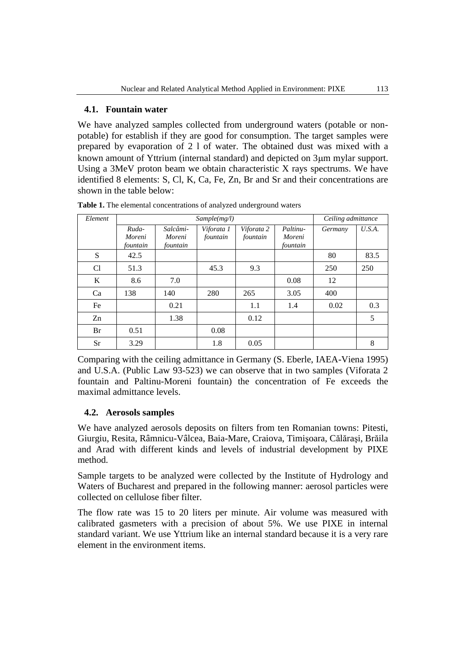# **4.1. Fountain water**

We have analyzed samples collected from underground waters (potable or nonpotable) for establish if they are good for consumption. The target samples were prepared by evaporation of 2 l of water. The obtained dust was mixed with a known amount of Yttrium (internal standard) and depicted on 3µm mylar support. Using a 3MeV proton beam we obtain characteristic X rays spectrums. We have identified 8 elements: S, Cl, K, Ca, Fe, Zn, Br and Sr and their concentrations are shown in the table below:

| Element | Sample(mg/l)    |                    |                        |                        |                    | Ceiling admittance |        |
|---------|-----------------|--------------------|------------------------|------------------------|--------------------|--------------------|--------|
|         | Ruda-<br>Moreni | Salcâmi-<br>Moreni | Viforata 1<br>fountain | Viforata 2<br>fountain | Paltinu-<br>Moreni | Germany            | U.S.A. |
|         | fountain        | fountain           |                        |                        | fountain           |                    |        |
| S       | 42.5            |                    |                        |                        |                    | 80                 | 83.5   |
| Cl      | 51.3            |                    | 45.3                   | 9.3                    |                    | 250                | 250    |
| K       | 8.6             | 7.0                |                        |                        | 0.08               | 12                 |        |
| Ca      | 138             | 140                | 280                    | 265                    | 3.05               | 400                |        |
| Fe      |                 | 0.21               |                        | 1.1                    | 1.4                | 0.02               | 0.3    |
| Zn      |                 | 1.38               |                        | 0.12                   |                    |                    | 5      |
| Br      | 0.51            |                    | 0.08                   |                        |                    |                    |        |
| Sr      | 3.29            |                    | 1.8                    | 0.05                   |                    |                    | 8      |

**Table 1.** The elemental concentrations of analyzed underground waters

Comparing with the ceiling admittance in Germany (S. Eberle, IAEA-Viena 1995) and U.S.A. (Public Law 93-523) we can observe that in two samples (Viforata 2 fountain and Paltinu-Moreni fountain) the concentration of Fe exceeds the maximal admittance levels.

# **4.2. Aerosols samples**

We have analyzed aerosols deposits on filters from ten Romanian towns: Pitesti, Giurgiu, Resita, Râmnicu-Vâlcea, Baia-Mare, Craiova, Timişoara, Călăraşi, Brăila and Arad with different kinds and levels of industrial development by PIXE method.

Sample targets to be analyzed were collected by the Institute of Hydrology and Waters of Bucharest and prepared in the following manner: aerosol particles were collected on cellulose fiber filter.

The flow rate was 15 to 20 liters per minute. Air volume was measured with calibrated gasmeters with a precision of about 5%. We use PIXE in internal standard variant. We use Yttrium like an internal standard because it is a very rare element in the environment items.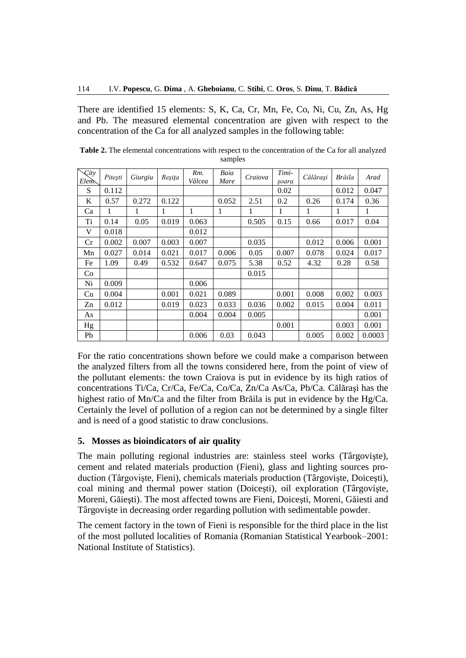There are identified 15 elements: S, K, Ca, Cr, Mn, Fe, Co, Ni, Cu, Zn, As, Hg and Pb. The measured elemental concentration are given with respect to the concentration of the Ca for all analyzed samples in the following table:

| City<br>Elem. | Pitești | Giurgiu | Reșița | Rm.<br>Vâlcea | Baia<br>Mare | Craiova | Timi-<br>soara | Călărasi | Brăila | Arad   |
|---------------|---------|---------|--------|---------------|--------------|---------|----------------|----------|--------|--------|
| S             | 0.112   |         |        |               |              |         | 0.02           |          | 0.012  | 0.047  |
| K             | 0.57    | 0.272   | 0.122  |               | 0.052        | 2.51    | 0.2            | 0.26     | 0.174  | 0.36   |
| Ca            | 1       | 1       | 1      | 1             | 1            | 1       | 1              | 1        | 1      | 1      |
| Ti            | 0.14    | 0.05    | 0.019  | 0.063         |              | 0.505   | 0.15           | 0.66     | 0.017  | 0.04   |
| V             | 0.018   |         |        | 0.012         |              |         |                |          |        |        |
| Cr            | 0.002   | 0.007   | 0.003  | 0.007         |              | 0.035   |                | 0.012    | 0.006  | 0.001  |
| Mn            | 0.027   | 0.014   | 0.021  | 0.017         | 0.006        | 0.05    | 0.007          | 0.078    | 0.024  | 0.017  |
| Fe            | 1.09    | 0.49    | 0.532  | 0.647         | 0.075        | 5.38    | 0.52           | 4.32     | 0.28   | 0.58   |
| Co            |         |         |        |               |              | 0.015   |                |          |        |        |
| Ni            | 0.009   |         |        | 0.006         |              |         |                |          |        |        |
| Cu            | 0.004   |         | 0.001  | 0.021         | 0.089        |         | 0.001          | 0.008    | 0.002  | 0.003  |
| Zn            | 0.012   |         | 0.019  | 0.023         | 0.033        | 0.036   | 0.002          | 0.015    | 0.004  | 0.011  |
| As            |         |         |        | 0.004         | 0.004        | 0.005   |                |          |        | 0.001  |
| Hg            |         |         |        |               |              |         | 0.001          |          | 0.003  | 0.001  |
| Pb            |         |         |        | 0.006         | 0.03         | 0.043   |                | 0.005    | 0.002  | 0.0003 |

**Table 2.** The elemental concentrations with respect to the concentration of the Ca for all analyzed samples

For the ratio concentrations shown before we could make a comparison between the analyzed filters from all the towns considered here, from the point of view of the pollutant elements: the town Craiova is put in evidence by its high ratios of concentrations Ti/Ca, Cr/Ca, Fe/Ca, Co/Ca, Zn/Ca As/Ca, Pb/Ca. Călăraşi has the highest ratio of Mn/Ca and the filter from Brăila is put in evidence by the Hg/Ca. Certainly the level of pollution of a region can not be determined by a single filter and is need of a good statistic to draw conclusions.

# **5. Mosses as bioindicators of air quality**

The main polluting regional industries are: stainless steel works (Târgovişte), cement and related materials production (Fieni), glass and lighting sources production (Târgovişte, Fieni), chemicals materials production (Târgovişte, Doiceşti), coal mining and thermal power station (Doiceşti), oil exploration (Târgovişte, Moreni, Găieşti). The most affected towns are Fieni, Doiceşti, Moreni, Găiesti and Târgovişte in decreasing order regarding pollution with sedimentable powder.

The cement factory in the town of Fieni is responsible for the third place in the list of the most polluted localities of Romania (Romanian Statistical Yearbook–2001: National Institute of Statistics).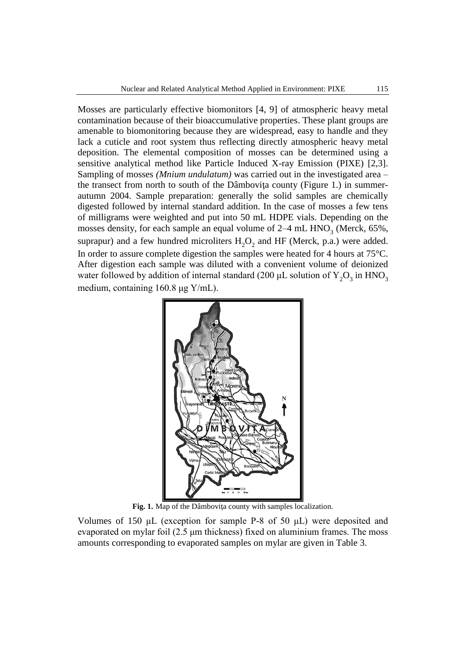Mosses are particularly effective biomonitors [4, 9] of atmospheric heavy metal contamination because of their bioaccumulative properties. These plant groups are amenable to biomonitoring because they are widespread, easy to handle and they lack a cuticle and root system thus reflecting directly atmospheric heavy metal deposition. The elemental composition of mosses can be determined using a sensitive analytical method like Particle Induced X-ray Emission (PIXE) [2,3]. Sampling of mosses *(Mnium undulatum)* was carried out in the investigated area – the transect from north to south of the Dâmboviţa county (Figure 1.) in summerautumn 2004. Sample preparation: generally the solid samples are chemically digested followed by internal standard addition. In the case of mosses a few tens of milligrams were weighted and put into 50 mL HDPE vials. Depending on the mosses density, for each sample an equal volume of  $2-4$  mL  $HNO<sub>3</sub>$  (Merck, 65%, suprapur) and a few hundred microliters  $H_2O_2$  and HF (Merck, p.a.) were added. In order to assure complete digestion the samples were heated for 4 hours at 75°C. After digestion each sample was diluted with a convenient volume of deionized water followed by addition of internal standard (200  $\mu$ L solution of  $\text{Y}_{2}\text{O}_{3}$  in  $\text{HNO}_{3}$ medium, containing 160.8 μg Y/mL).



**Fig. 1.** Map of the Dâmboviţa county with samples localization.

Volumes of 150  $\mu$ L (exception for sample P-8 of 50  $\mu$ L) were deposited and evaporated on mylar foil (2.5 μm thickness) fixed on aluminium frames. The moss amounts corresponding to evaporated samples on mylar are given in Table 3.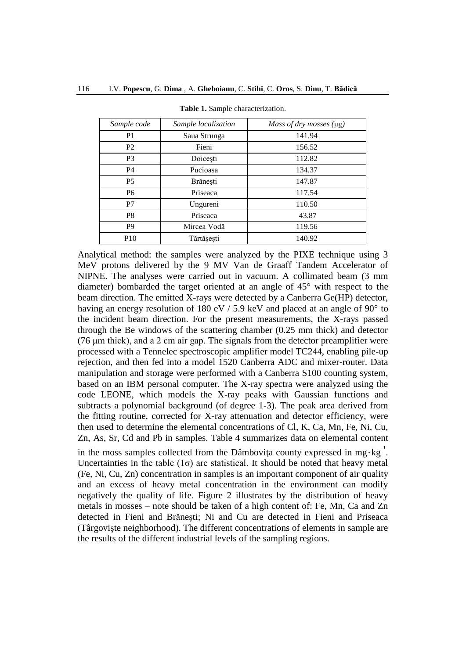| Sample code     | Sample localization | Mass of dry mosses (µg) |  |  |
|-----------------|---------------------|-------------------------|--|--|
| P <sub>1</sub>  | Saua Strunga        | 141.94                  |  |  |
| P <sub>2</sub>  | Fieni               | 156.52                  |  |  |
| P <sub>3</sub>  | Doicești            | 112.82                  |  |  |
| <b>P4</b>       | Pucioasa            | 134.37                  |  |  |
| P <sub>5</sub>  | Brănești            | 147.87                  |  |  |
| P <sub>6</sub>  | Priseaca            | 117.54                  |  |  |
| P7              | Ungureni            | 110.50                  |  |  |
| P <sub>8</sub>  | Priseaca            | 43.87                   |  |  |
| P <sub>9</sub>  | Mircea Vodă         | 119.56                  |  |  |
| P <sub>10</sub> | Tărtășești          | 140.92                  |  |  |

**Table 1.** Sample characterization.

Analytical method: the samples were analyzed by the PIXE technique using 3 MeV protons delivered by the 9 MV Van de Graaff Tandem Accelerator of NIPNE. The analyses were carried out in vacuum. A collimated beam (3 mm diameter) bombarded the target oriented at an angle of 45° with respect to the beam direction. The emitted X-rays were detected by a Canberra Ge(HP) detector, having an energy resolution of 180 eV / 5.9 keV and placed at an angle of 90 $^{\circ}$  to the incident beam direction. For the present measurements, the X-rays passed through the Be windows of the scattering chamber (0.25 mm thick) and detector (76 μm thick), and a 2 cm air gap. The signals from the detector preamplifier were processed with a Tennelec spectroscopic amplifier model TC244, enabling pile-up rejection, and then fed into a model 1520 Canberra ADC and mixer-router. Data manipulation and storage were performed with a Canberra S100 counting system, based on an IBM personal computer. The X-ray spectra were analyzed using the code LEONE, which models the X-ray peaks with Gaussian functions and subtracts a polynomial background (of degree 1-3). The peak area derived from the fitting routine, corrected for X-ray attenuation and detector efficiency, were then used to determine the elemental concentrations of Cl, K, Ca, Mn, Fe, Ni, Cu, Zn, As, Sr, Cd and Pb in samples. Table 4 summarizes data on elemental content

in the moss samples collected from the Dâmboviţa county expressed in mg⋅kg<sup>-1</sup>. Uncertainties in the table  $(1\sigma)$  are statistical. It should be noted that heavy metal (Fe, Ni, Cu, Zn) concentration in samples is an important component of air quality and an excess of heavy metal concentration in the environment can modify negatively the quality of life. Figure 2 illustrates by the distribution of heavy metals in mosses – note should be taken of a high content of: Fe, Mn, Ca and Zn detected in Fieni and Brăneşti; Ni and Cu are detected in Fieni and Priseaca (Târgovişte neighborhood). The different concentrations of elements in sample are the results of the different industrial levels of the sampling regions.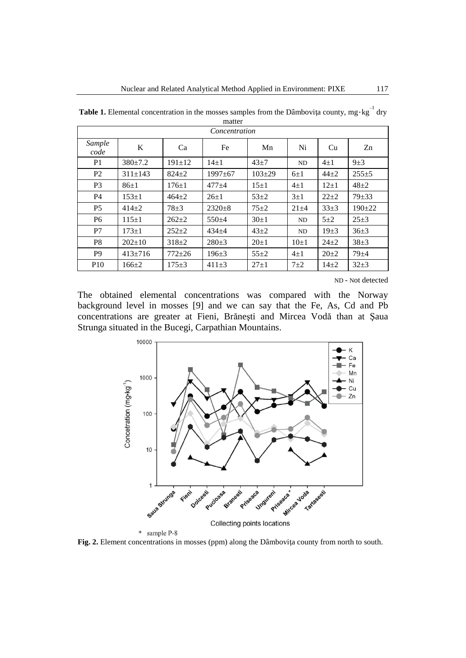| Concentration   |               |              |               |            |            |            |           |  |
|-----------------|---------------|--------------|---------------|------------|------------|------------|-----------|--|
| Sample<br>code  | K             | Ca           | Fe            | Mn         | Ni         | Cu         | Zn        |  |
| P <sub>1</sub>  | $380 \pm 7.2$ | $191 \pm 12$ | $14+1$        | $43 + 7$   | ND         | $4\pm1$    | $9\pm3$   |  |
| P <sub>2</sub>  | $311 \pm 143$ | $824 \pm 2$  | $1997 \pm 67$ | $103 + 29$ | $6\pm1$    | $44 + 2$   | $255+5$   |  |
| P <sub>3</sub>  | $86 \pm 1$    | $176 \pm 1$  | $477 + 4$     | $15\pm1$   | $4\pm1$    | $12\pm1$   | $48 + 2$  |  |
| <b>P4</b>       | $153 \pm 1$   | $464 + 2$    | $26 \pm 1$    | $53+2$     | $3\pm1$    | $22 + 2$   | $79 + 33$ |  |
| P <sub>5</sub>  | $414 + 2$     | $78 + 3$     | $2320 \pm 8$  | $75 + 2$   | $21 \pm 4$ | $33+3$     | $190+22$  |  |
| P <sub>6</sub>  | $115 \pm 1$   | $262+2$      | $550+4$       | $30+1$     | ND         | $5\pm2$    | $25 + 3$  |  |
| P7              | $173 + 1$     | $252+2$      | $434 + 4$     | $43+2$     | ND         | $19\pm3$   | $36+3$    |  |
| P <sub>8</sub>  | $202+10$      | $318+2$      | $280+3$       | $20+1$     | $10\pm1$   | $24+2$     | $38+3$    |  |
| P <sub>9</sub>  | $413 \pm 716$ | $772 + 26$   | $196 \pm 3$   | $55 + 2$   | $4\pm1$    | $20 \pm 2$ | $79 + 4$  |  |
| P <sub>10</sub> | $166 \pm 2$   | $175 + 3$    | $411\pm3$     | $27+1$     | $7\pm2$    | $14\pm 2$  | $32+3$    |  |

**Table 1.** Elemental concentration in the mosses samples from the Dâmboviţa county, mg⋅kg<sup>-1</sup> dry

ND - Not detected

The obtained elemental concentrations was compared with the Norway background level in mosses [9] and we can say that the Fe, As, Cd and Pb concentrations are greater at Fieni, Brăneşti and Mircea Vodă than at Şaua Strunga situated in the Bucegi, Carpathian Mountains.



\* sample P-8

**Fig. 2.** Element concentrations in mosses (ppm) along the Dâmboviţa county from north to south.